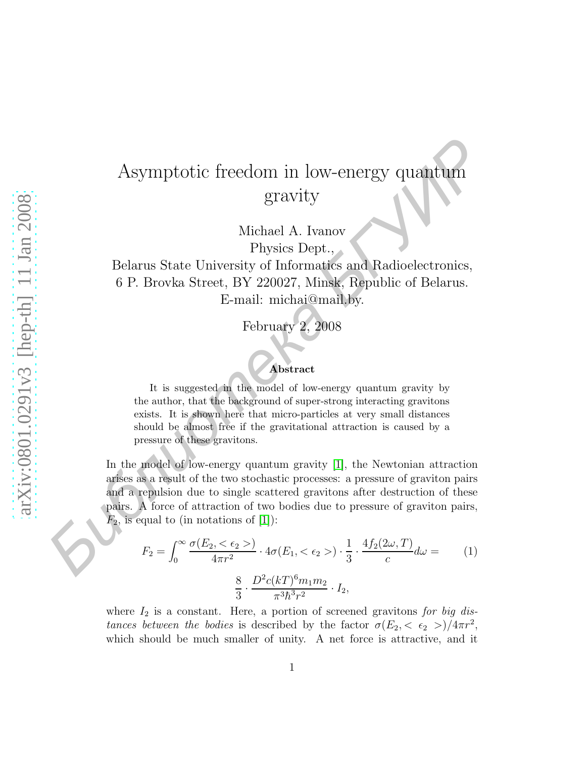## Asymptotic freedom in low-energy quantum gravity

Michael A. Ivanov Physics Dept.,

Belarus State University of Informatics and Radioelectronics, 6 P. Brovka Street, BY 220027, Minsk, Republic of Belarus. E-mail: michai@mail.by.

February 2, 2008

## Abstract

It is suggested in the model of low-energy quantum gravity by the author, that the background of super-strong interacting gravitons exists. It is shown here that micro-particles at very small distances should be almost free if the gravitational attraction is caused by a pressure of these gravitons.

In the model of low-energy quantum gravity [\[1\]](#page-1-0), the Newtonian attraction arises as a result of the two stochastic processes: a pressure of graviton pairs and a repulsion due to single scattered gravitons after destruction of these pairs. A force of attraction of two bodies due to pressure of graviton pairs,  $F_2$ , is equal to (in notations of [\[1\]](#page-1-0)): Asymptotic freedom in low-energy quantum<br>gravity<br>gravity<br>dichael A. Ivanov<br>Hysics Dept.<br>Belarus State University of Informaties and Radio<br>electronics, 6 P. Brovka Street, BY 220027, Minsk, Republic of Belarus.<br>E-mail: mic

$$
F_2 = \int_0^\infty \frac{\sigma(E_2, < \epsilon_2 >)}{4\pi r^2} \cdot 4\sigma(E_1, < \epsilon_2 >) \cdot \frac{1}{3} \cdot \frac{4f_2(2\omega, T)}{c} d\omega = \qquad (1)
$$
\n
$$
\frac{8}{3} \cdot \frac{D^2 c(kT)^6 m_1 m_2}{\pi^3 \hbar^3 r^2} \cdot I_2,
$$

where  $I_2$  is a constant. Here, a portion of screened gravitons for big distances between the bodies is described by the factor  $\sigma(E_2, \langle \epsilon_2 \rangle)/4\pi r^2$ , which should be much smaller of unity. A net force is attractive, and it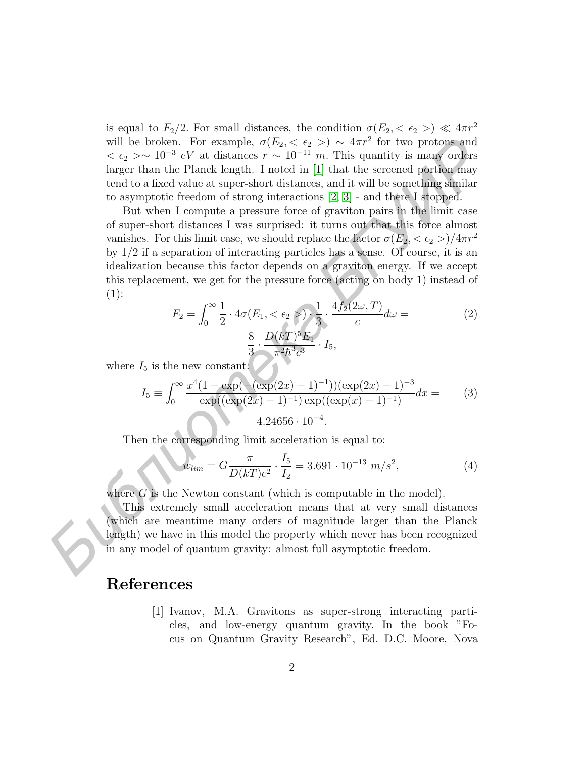is equal to  $F_2/2$ . For small distances, the condition  $\sigma(E_2, < \epsilon_2 >) \ll 4\pi r^2$ will be broken. For example,  $\sigma(E_2, \langle \epsilon_2 \rangle) \sim 4\pi r^2$  for two protons and  $< \epsilon_2 > \sim 10^{-3} eV$  at distances  $r \sim 10^{-11} m$ . This quantity is many orders larger than the Planck length. I noted in [1] that the screened portion may tend to a fixed value at super-short distances, and it will be something similar to asymptotic freedom of strong interactions [2, 3] - and there I stopped.

But when I compute a pressure force of graviton pairs in the limit case of super-short distances I was surprised: it turns out that this force almost vanishes. For this limit case, we should replace the factor  $\sigma(E_2, <\epsilon_2 >)/4\pi r^2$ by 1/2 if a separation of interacting particles has a sense. Of course, it is an idealization because this factor depends on a graviton energy. If we accept this replacement, we get for the pressure force (acting on body 1) instead of  $(1):$ will be broken. For example,  $\sigma(P_{2x} < c_2 >) \sim 4\pi r^2$  for two protons and calculate larger than the Planck length. I noted in [1] that the screened portion may<br>tend to a fixed value at super-sion for the screened portion

$$
F_2 = \int_0^\infty \frac{1}{2} \cdot 4\sigma(E_1, < \epsilon_2) \cdot \frac{1}{3} \cdot \frac{4f_2(2\omega, T)}{c} d\omega =
$$
\n
$$
\frac{8}{3} \cdot \frac{D(kT)^5 E_1}{\pi^2 \hbar^3 c^3} \cdot I_5,
$$
\n(2)

where  $I_5$  is the new constant:

$$
I_5 \equiv \int_0^\infty \frac{x^4(1 - \exp(-(\exp(2x) - 1)^{-1}))(\exp(2x) - 1)^{-3}}{\exp((\exp(2x) - 1)^{-1})\exp((\exp(x) - 1)^{-1})} dx = (3)
$$
  
4.24656 · 10<sup>-4</sup>.

Then the corresponding limit acceleration is equal to:

$$
w_{lim} = G \frac{\pi}{D(kT)c^2} \cdot \frac{I_5}{I_2} = 3.691 \cdot 10^{-13} \, m/s^2,\tag{4}
$$

where  $G$  is the Newton constant (which is computable in the model).

This extremely small acceleration means that at very small distances (which are meantime many orders of magnitude larger than the Planck length) we have in this model the property which never has been recognized in any model of quantum gravity: almost full asymptotic freedom.

## <span id="page-1-0"></span>References

[1] Ivanov, M.A. Gravitons as super-strong interacting particles, and low-energy quantum gravity. In the book "Focus on Quantum Gravity Research", Ed. D.C. Moore, Nova